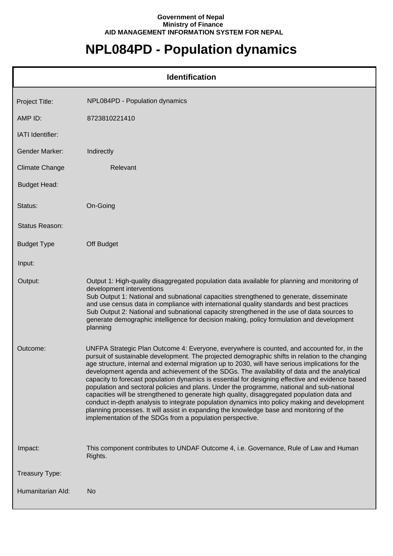## **Government of Nepal Ministry of Finance AID MANAGEMENT INFORMATION SYSTEM FOR NEPAL**

## **NPL084PD - Population dynamics**

| <b>Identification</b> |                                                                                                                                                                                                                                                                                                                                                                                                                                                                                                                                                                                                                                                                                                                                                                                                                                                                                                                                                               |  |
|-----------------------|---------------------------------------------------------------------------------------------------------------------------------------------------------------------------------------------------------------------------------------------------------------------------------------------------------------------------------------------------------------------------------------------------------------------------------------------------------------------------------------------------------------------------------------------------------------------------------------------------------------------------------------------------------------------------------------------------------------------------------------------------------------------------------------------------------------------------------------------------------------------------------------------------------------------------------------------------------------|--|
| Project Title:        | NPL084PD - Population dynamics                                                                                                                                                                                                                                                                                                                                                                                                                                                                                                                                                                                                                                                                                                                                                                                                                                                                                                                                |  |
| AMP ID:               | 8723810221410                                                                                                                                                                                                                                                                                                                                                                                                                                                                                                                                                                                                                                                                                                                                                                                                                                                                                                                                                 |  |
| IATI Identifier:      |                                                                                                                                                                                                                                                                                                                                                                                                                                                                                                                                                                                                                                                                                                                                                                                                                                                                                                                                                               |  |
| <b>Gender Marker:</b> | Indirectly                                                                                                                                                                                                                                                                                                                                                                                                                                                                                                                                                                                                                                                                                                                                                                                                                                                                                                                                                    |  |
| <b>Climate Change</b> | Relevant                                                                                                                                                                                                                                                                                                                                                                                                                                                                                                                                                                                                                                                                                                                                                                                                                                                                                                                                                      |  |
| <b>Budget Head:</b>   |                                                                                                                                                                                                                                                                                                                                                                                                                                                                                                                                                                                                                                                                                                                                                                                                                                                                                                                                                               |  |
| Status:               | On-Going                                                                                                                                                                                                                                                                                                                                                                                                                                                                                                                                                                                                                                                                                                                                                                                                                                                                                                                                                      |  |
| Status Reason:        |                                                                                                                                                                                                                                                                                                                                                                                                                                                                                                                                                                                                                                                                                                                                                                                                                                                                                                                                                               |  |
| <b>Budget Type</b>    | Off Budget                                                                                                                                                                                                                                                                                                                                                                                                                                                                                                                                                                                                                                                                                                                                                                                                                                                                                                                                                    |  |
| Input:                |                                                                                                                                                                                                                                                                                                                                                                                                                                                                                                                                                                                                                                                                                                                                                                                                                                                                                                                                                               |  |
| Output:               | Output 1: High-quality disaggregated population data available for planning and monitoring of<br>development interventions<br>Sub Output 1: National and subnational capacities strengthened to generate, disseminate<br>and use census data in compliance with international quality standards and best practices<br>Sub Output 2: National and subnational capacity strengthened in the use of data sources to<br>generate demographic intelligence for decision making, policy formulation and development<br>planning                                                                                                                                                                                                                                                                                                                                                                                                                                     |  |
| Outcome:              | UNFPA Strategic Plan Outcome 4: Everyone, everywhere is counted, and accounted for, in the<br>pursuit of sustainable development. The projected demographic shifts in relation to the changing<br>age structure, internal and external migration up to 2030, will have serious implications for the<br>development agenda and achievement of the SDGs. The availability of data and the analytical<br>capacity to forecast population dynamics is essential for designing effective and evidence based<br>population and sectoral policies and plans. Under the programme, national and sub-national<br>capacities will be strengthened to generate high quality, disaggregated population data and<br>conduct in-depth analysis to integrate population dynamics into policy making and development<br>planning processes. It will assist in expanding the knowledge base and monitoring of the<br>implementation of the SDGs from a population perspective. |  |
| Impact:               | This component contributes to UNDAF Outcome 4, i.e. Governance, Rule of Law and Human<br>Rights.                                                                                                                                                                                                                                                                                                                                                                                                                                                                                                                                                                                                                                                                                                                                                                                                                                                              |  |
| Treasury Type:        |                                                                                                                                                                                                                                                                                                                                                                                                                                                                                                                                                                                                                                                                                                                                                                                                                                                                                                                                                               |  |
| Humanitarian Ald:     | No                                                                                                                                                                                                                                                                                                                                                                                                                                                                                                                                                                                                                                                                                                                                                                                                                                                                                                                                                            |  |

ı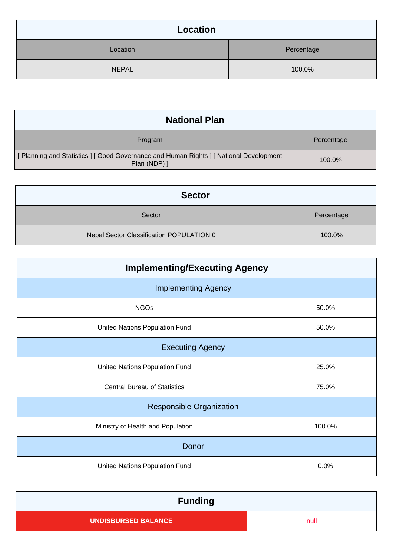| Location     |            |
|--------------|------------|
| Location     | Percentage |
| <b>NEPAL</b> | 100.0%     |

| <b>National Plan</b>                                                                                      |            |
|-----------------------------------------------------------------------------------------------------------|------------|
| Program                                                                                                   | Percentage |
| [ Planning and Statistics ] [ Good Governance and Human Rights ] [ National Development  <br>Plan (NDP) ] | 100.0%     |

| <b>Sector</b>                            |            |
|------------------------------------------|------------|
| Sector                                   | Percentage |
| Nepal Sector Classification POPULATION 0 | 100.0%     |

| <b>Implementing/Executing Agency</b> |        |  |
|--------------------------------------|--------|--|
| <b>Implementing Agency</b>           |        |  |
| <b>NGOs</b>                          | 50.0%  |  |
| United Nations Population Fund       | 50.0%  |  |
| <b>Executing Agency</b>              |        |  |
| United Nations Population Fund       | 25.0%  |  |
| <b>Central Bureau of Statistics</b>  | 75.0%  |  |
| <b>Responsible Organization</b>      |        |  |
| Ministry of Health and Population    | 100.0% |  |
| Donor                                |        |  |
| United Nations Population Fund       | 0.0%   |  |

| <b>Funding</b>             |      |
|----------------------------|------|
| <b>UNDISBURSED BALANCE</b> | null |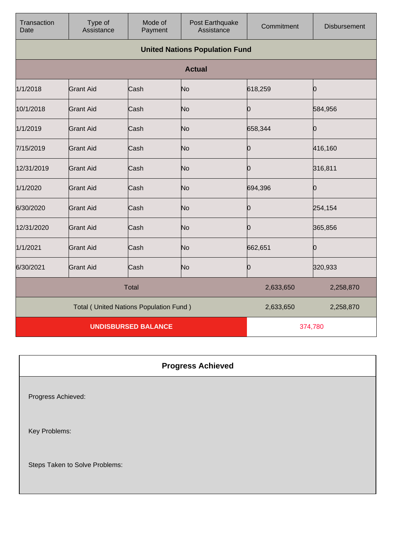| Transaction<br>Date                             | Type of<br>Assistance                 | Mode of<br>Payment | Post Earthquake<br>Assistance | Commitment | <b>Disbursement</b> |
|-------------------------------------------------|---------------------------------------|--------------------|-------------------------------|------------|---------------------|
|                                                 | <b>United Nations Population Fund</b> |                    |                               |            |                     |
|                                                 |                                       |                    | <b>Actual</b>                 |            |                     |
| 1/1/2018                                        | <b>Grant Aid</b>                      | Cash               | No                            | 618,259    | Ю                   |
| 10/1/2018                                       | <b>Grant Aid</b>                      | Cash               | No                            | 0          | 584,956             |
| 1/1/2019                                        | <b>Grant Aid</b>                      | Cash               | No                            | 658,344    | Ю                   |
| 7/15/2019                                       | <b>Grant Aid</b>                      | Cash               | No                            | Ю          | 416,160             |
| 12/31/2019                                      | <b>Grant Aid</b>                      | Cash               | No                            | 10         | 316,811             |
| 1/1/2020                                        | <b>Grant Aid</b>                      | Cash               | No                            | 694,396    | O                   |
| 6/30/2020                                       | <b>Grant Aid</b>                      | Cash               | No                            | Ю          | 254,154             |
| 12/31/2020                                      | <b>Grant Aid</b>                      | Cash               | No                            | 0          | 365,856             |
| 1/1/2021                                        | <b>Grant Aid</b>                      | Cash               | No                            | 662,651    | Ю                   |
| 6/30/2021                                       | <b>Grant Aid</b>                      | Cash               | No                            | 0          | 320,933             |
| <b>Total</b>                                    |                                       |                    | 2,633,650                     | 2,258,870  |                     |
| <b>Total ( United Nations Population Fund )</b> |                                       |                    | 2,633,650                     | 2,258,870  |                     |
| <b>UNDISBURSED BALANCE</b>                      |                                       |                    | 374,780                       |            |                     |

## **Progress Achieved**

Progress Achieved:

Key Problems:

Steps Taken to Solve Problems: